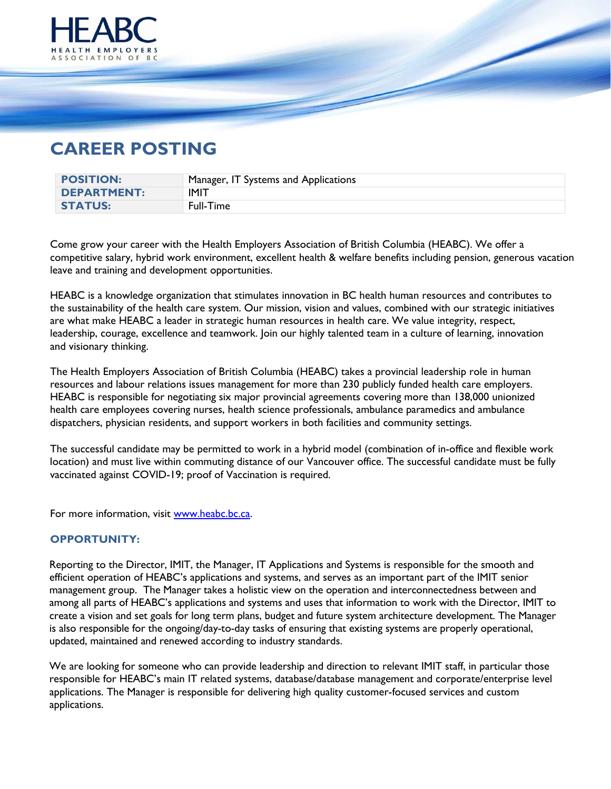

## **CAREER POSTING**

| <b>POSITION:</b>   | Manager, IT Systems and Applications |
|--------------------|--------------------------------------|
| <b>DEPARTMENT:</b> | <b>IMIT</b>                          |
| <b>STATUS:</b>     | Full-Time                            |

Come grow your career with the Health Employers Association of British Columbia (HEABC). We offer a competitive salary, hybrid work environment, excellent health & welfare benefits including pension, generous vacation leave and training and development opportunities.

HEABC is a knowledge organization that stimulates innovation in BC health human resources and contributes to the sustainability of the health care system. Our mission, vision and values, combined with our strategic initiatives are what make HEABC a leader in strategic human resources in health care. We value integrity, respect, leadership, courage, excellence and teamwork. Join our highly talented team in a culture of learning, innovation and visionary thinking.

The Health Employers Association of British Columbia (HEABC) takes a provincial leadership role in human resources and labour relations issues management for more than 230 publicly funded health care employers. HEABC is responsible for negotiating six major provincial agreements covering more than 138,000 unionized health care employees covering nurses, health science professionals, ambulance paramedics and ambulance dispatchers, physician residents, and support workers in both facilities and community settings.

The successful candidate may be permitted to work in a hybrid model (combination of in-office and flexible work location) and must live within commuting distance of our Vancouver office. The successful candidate must be fully vaccinated against COVID-19; proof of Vaccination is required.

For more information, visit [www.heabc.bc.ca.](http://www.heabc.bc.ca/)

## **OPPORTUNITY:**

Reporting to the Director, IMIT, the Manager, IT Applications and Systems is responsible for the smooth and efficient operation of HEABC's applications and systems, and serves as an important part of the IMIT senior management group. The Manager takes a holistic view on the operation and interconnectedness between and among all parts of HEABC's applications and systems and uses that information to work with the Director, IMIT to create a vision and set goals for long term plans, budget and future system architecture development. The Manager is also responsible for the ongoing/day-to-day tasks of ensuring that existing systems are properly operational, updated, maintained and renewed according to industry standards.

We are looking for someone who can provide leadership and direction to relevant IMIT staff, in particular those responsible for HEABC's main IT related systems, database/database management and corporate/enterprise level applications. The Manager is responsible for delivering high quality customer-focused services and custom applications.